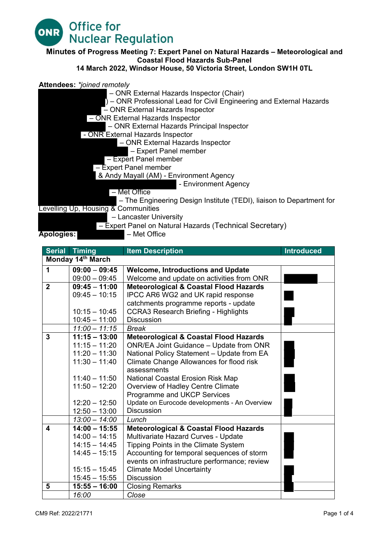

#### **Minutes of Progress Meeting 7: Expert Panel on Natural Hazards – Meteorological and Coastal Flood Hazards Sub-Panel**

#### **14 March 2022, Windsor House, 50 Victoria Street, London SW1H 0TL**

#### **Attendees:** *\*joined remotely*



|                         | <b>Serial Timing</b> | <b>Item Description</b>                           | <b>Introduced</b> |  |
|-------------------------|----------------------|---------------------------------------------------|-------------------|--|
| Monday 14th March       |                      |                                                   |                   |  |
| $\mathbf 1$             | $09:00 - 09:45$      | <b>Welcome, Introductions and Update</b>          |                   |  |
|                         | $09:00 - 09:45$      | Welcome and update on activities from ONR         |                   |  |
| $\overline{2}$          | $09:45 - 11:00$      | <b>Meteorological &amp; Coastal Flood Hazards</b> |                   |  |
|                         | $09:45 - 10:15$      | IPCC AR6 WG2 and UK rapid response                |                   |  |
|                         |                      | catchments programme reports - update             |                   |  |
|                         | $10:15 - 10:45$      | <b>CCRA3 Research Briefing - Highlights</b>       |                   |  |
|                         | $10:45 - 11:00$      | <b>Discussion</b>                                 |                   |  |
|                         | $11:00 - 11:15$      | <b>Break</b>                                      |                   |  |
| $\overline{3}$          | $11:15 - 13:00$      | <b>Meteorological &amp; Coastal Flood Hazards</b> |                   |  |
|                         | $11:15 - 11:20$      | ONR/EA Joint Guidance - Update from ONR           |                   |  |
|                         | $11:20 - 11:30$      | National Policy Statement - Update from EA        |                   |  |
|                         | $11:30 - 11:40$      | Climate Change Allowances for flood risk          |                   |  |
|                         |                      | assessments                                       |                   |  |
|                         | $11:40 - 11:50$      | National Coastal Erosion Risk Map                 |                   |  |
|                         | $11:50 - 12:20$      | Overview of Hadley Centre Climate                 |                   |  |
|                         |                      | Programme and UKCP Services                       |                   |  |
|                         | $12:20 - 12:50$      | Update on Eurocode developments - An Overview     |                   |  |
|                         | $12:50 - 13:00$      | <b>Discussion</b>                                 |                   |  |
|                         | $13:00 - 14:00$      | Lunch                                             |                   |  |
| $\overline{\mathbf{4}}$ | $14:00 - 15:55$      | <b>Meteorological &amp; Coastal Flood Hazards</b> |                   |  |
|                         | $14:00 - 14:15$      | Multivariate Hazard Curves - Update               |                   |  |
|                         | $14:15 - 14:45$      | Tipping Points in the Climate System              |                   |  |
|                         | $14:45 - 15:15$      | Accounting for temporal sequences of storm        |                   |  |
|                         |                      | events on infrastructure performance; review      |                   |  |
|                         | $15:15 - 15:45$      | <b>Climate Model Uncertainty</b>                  |                   |  |
|                         | $15:45 - 15:55$      | <b>Discussion</b>                                 |                   |  |
| 5                       | $15:55 - 16:00$      | <b>Closing Remarks</b>                            |                   |  |
|                         | 16:00                | Close                                             |                   |  |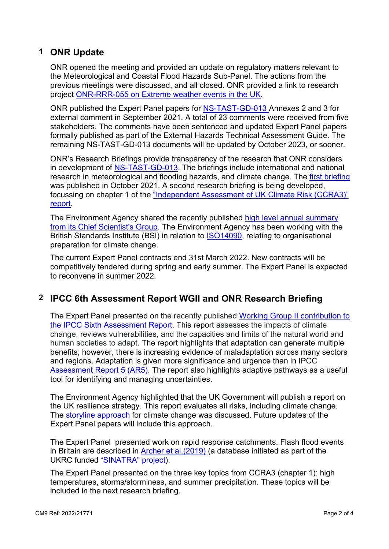# **1 ONR Update**

ONR opened the meeting and provided an update on regulatory matters relevant to the Meteorological and Coastal Flood Hazards Sub-Panel. The actions from the previous meetings were discussed, and all closed. ONR provided a link to research project ONR-RRR-055 on [Extreme weather events in the UK.](https://www.onr.org.uk/documents/2021/onr-rrr-055.pdf)

ONR published the Expert Panel papers for [NS-TAST-GD-013](https://www.onr.org.uk/operational/tech_asst_guides/ns-tast-gd-013.htm) Annexes 2 and 3 for external comment in September 2021. A total of 23 comments were received from five stakeholders. The comments have been sentenced and updated Expert Panel papers formally published as part of the External Hazards Technical Assessment Guide. The remaining NS-TAST-GD-013 documents will be updated by October 2023, or sooner.

ONR's Research Briefings provide transparency of the research that ONR considers in development of [NS-TAST-GD-013.](https://www.onr.org.uk/operational/tech_asst_guides/ns-tast-gd-013.htm) The briefings include international and national research in meteorological and flooding hazards, and climate change. The [first briefing](https://www.onr.org.uk/external-panels/natural-hazards-research-briefing.pdf) was published in October 2021. A second research briefing is being developed, focussing on chapter 1 of the ["Independent Assessment of UK Climate Risk \(CCRA3\)"](https://www.ukclimaterisk.org/) [report.](https://www.ukclimaterisk.org/)

The Environment Agency shared the recently published [high level annual summary](https://assets.publishing.service.gov.uk/government/uploads/system/uploads/attachment_data/file/1054802/Chief_Scientist_s_annual_review_2021.pdf)  from its [Chief Scientist's Group.](https://assets.publishing.service.gov.uk/government/uploads/system/uploads/attachment_data/file/1054802/Chief_Scientist_s_annual_review_2021.pdf) The Environment Agency has been working with the British Standards Institute (BSI) in relation to [ISO14090,](https://www.iso.org/obp/ui#iso:std:iso:14090:ed-1:v1:en) relating to organisational preparation for climate change.

The current Expert Panel contracts end 31st March 2022. New contracts will be competitively tendered during spring and early summer. The Expert Panel is expected to reconvene in summer 2022.

## **2 IPCC 6th Assessment Report WGII and ONR Research Briefing**

The Expert Panel presented on the recently published [Working Group II contribution to](https://www.ipcc.ch/report/sixth-assessment-report-working-group-ii/)  [the IPCC Sixth Assessment Report.](https://www.ipcc.ch/report/sixth-assessment-report-working-group-ii/) This report assesses the impacts of climate change, reviews vulnerabilities, and the capacities and limits of the natural world and human societies to adapt. The report highlights that adaptation can generate multiple benefits; however, there is increasing evidence of maladaptation across many sectors and regions. Adaptation is given more significance and urgence than in IPCC [Assessment Report 5 \(AR5\).](https://www.ipcc.ch/assessment-report/ar5/) The report also highlights adaptive pathways as a useful tool for identifying and managing uncertainties.

The Environment Agency highlighted that the UK Government will publish a report on the UK resilience strategy. This report evaluates all risks, including climate change. The [storyline approach](https://link.springer.com/article/10.1007/s10584-018-2317-9) for climate change was discussed. Future updates of the Expert Panel papers will include this approach.

The Expert Panel presented work on rapid response catchments. Flash flood events in Britain are described in **Archer et al.**(2019) (a database initiated as part of the UKRC funded ["SINATRA" project\)](https://www.jbatrust.org/how-we-help/publications-resources/rivers-and-coasts/uk-chronology-of-flash-floods-1/).

The Expert Panel presented on the three key topics from CCRA3 (chapter 1): high temperatures, storms/storminess, and summer precipitation. These topics will be included in the next research briefing.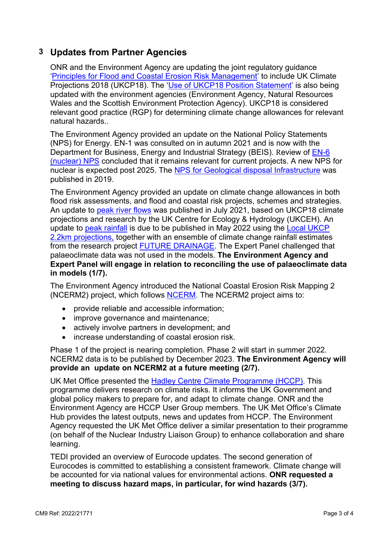# **3 Updates from Partner Agencies**

ONR and the Environment Agency are updating the joint regulatory guidance 'Principles [for Flood and Coastal Erosion Risk Management'](https://www.onr.org.uk/documents/2017/principles-for-flood-and-coastal-erosion-risk-management.pdf) to include UK Climate Projections 2018 (UKCP18). The ['Use of UKCP18 Position Statement'](https://www.onr.org.uk/documents/2020/ukcp18-position-statement-rev-1.pdf) is also being updated with the environment agencies (Environment Agency, Natural Resources Wales and the Scottish Environment Protection Agency). UKCP18 is considered relevant good practice (RGP) for determining climate change allowances for relevant natural hazards..

The Environment Agency provided an update on the National Policy Statements (NPS) for Energy. EN-1 was consulted on in autumn 2021 and is now with the Department for Business, Energy and Industrial Strategy (BEIS). Review of [EN-6](https://www.gov.uk/government/consultations/planning-for-new-energy-infrastructure-review-of-energy-national-policy-statements)  [\(nuclear\) NPS](https://www.gov.uk/government/consultations/planning-for-new-energy-infrastructure-review-of-energy-national-policy-statements) concluded that it remains relevant for current projects. A new NPS for nuclear is expected post 2025. The [NPS for Geological disposal Infrastructure](https://assets.publishing.service.gov.uk/government/uploads/system/uploads/attachment_data/file/814491/national-policy-statement-geological-disposal-infrastructure.pdf) was published in 2019.

The Environment Agency provided an update on climate change allowances in both flood risk assessments, and flood and coastal risk projects, schemes and strategies. An update to [peak river flows](https://www.gov.uk/government/publications/peak-river-flow-climate-change-allowances-by-management-catchment) was published in July 2021, based on UKCP18 climate projections and research by the UK Centre for Ecology & Hydrology (UKCEH). An update to [peak rainfall](https://www.gov.uk/government/publications/peak-rainfall-climate-change-allowances-by-management-catchment) is due to be published in May 2022 using the [Local UKCP](https://www.metoffice.gov.uk/binaries/content/assets/metofficegovuk/pdf/research/ukcp/ukcp18-factsheet-local-2.2km.pdf)  [2.2km projections,](https://www.metoffice.gov.uk/binaries/content/assets/metofficegovuk/pdf/research/ukcp/ukcp18-factsheet-local-2.2km.pdf) together with an ensemble of climate change rainfall estimates from the research project [FUTURE DRAINAGE.](https://www.ukclimateresilience.org/projects/future-drainage-ensemble-climate-change-rainfall-estimates-for-sustainable-drainage/) The Expert Panel challenged that palaeoclimate data was not used in the models. **The Environment Agency and Expert Panel will engage in relation to reconciling the use of palaeoclimate data in models (1/7).**

The Environment Agency introduced the National Coastal Erosion Risk Mapping 2 (NCERM2) project, which follows [NCERM.](https://data.gov.uk/dataset/7564fcf7-2dd2-4878-bfb9-11c5cf971cf9/national-coastal-erosion-risk-mapping-ncerm-national-2018-2021) The NCERM2 project aims to:

- provide reliable and accessible information;
- improve governance and maintenance:
- actively involve partners in development; and
- increase understanding of coastal erosion risk.

Phase 1 of the project is nearing completion. Phase 2 will start in summer 2022. NCERM2 data is to be published by December 2023. **The Environment Agency will provide an update on NCERM2 at a future meeting (2/7).**

UK Met Office presented the **Hadley Centre Climate Programme (HCCP)**. This programme delivers research on climate risks. It informs the UK Government and global policy makers to prepare for, and adapt to climate change. ONR and the Environment Agency are HCCP User Group members. The UK Met Office's Climate Hub provides the latest outputs, news and updates from HCCP. The Environment Agency requested the UK Met Office deliver a similar presentation to their programme (on behalf of the Nuclear Industry Liaison Group) to enhance collaboration and share learning.

TEDI provided an overview of Eurocode updates. The second generation of Eurocodes is committed to establishing a consistent framework. Climate change will be accounted for via national values for environmental actions. **ONR requested a meeting to discuss hazard maps, in particular, for wind hazards (3/7).**